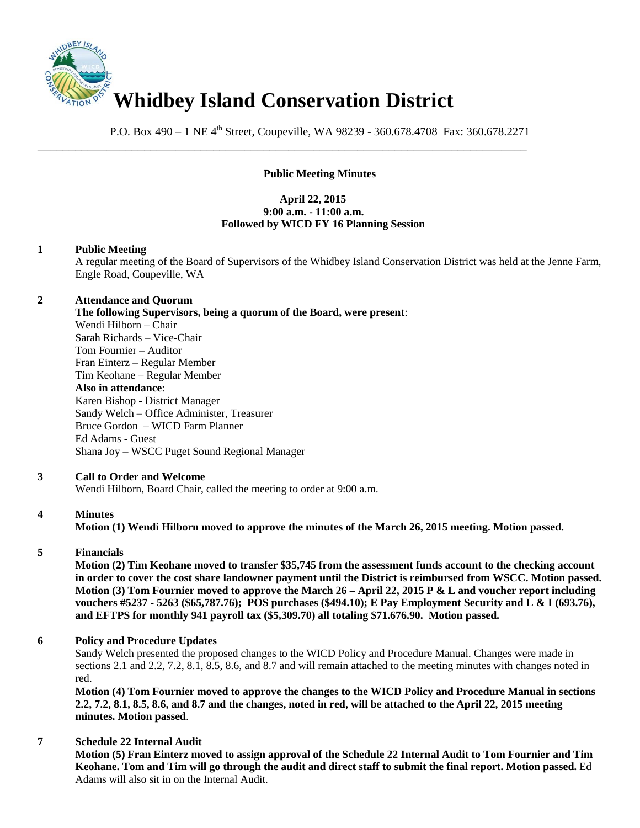

P.O. Box 490 – 1 NE 4<sup>th</sup> Street, Coupeville, WA 98239 - 360.678.4708 Fax: 360.678.2271

\_\_\_\_\_\_\_\_\_\_\_\_\_\_\_\_\_\_\_\_\_\_\_\_\_\_\_\_\_\_\_\_\_\_\_\_\_\_\_\_\_\_\_\_\_\_\_\_\_\_\_\_\_\_\_\_\_\_\_\_\_\_\_\_\_\_\_\_\_\_\_\_\_\_\_\_\_\_

# **Public Meeting Minutes**

## **April 22, 2015 9:00 a.m. - 11:00 a.m. Followed by WICD FY 16 Planning Session**

### **1 Public Meeting**

A regular meeting of the Board of Supervisors of the Whidbey Island Conservation District was held at the Jenne Farm, Engle Road, Coupeville, WA

### **2 Attendance and Quorum**

**The following Supervisors, being a quorum of the Board, were present**:

Wendi Hilborn – Chair Sarah Richards – Vice-Chair Tom Fournier – Auditor Fran Einterz – Regular Member Tim Keohane – Regular Member **Also in attendance**: Karen Bishop - District Manager Sandy Welch – Office Administer, Treasurer Bruce Gordon – WICD Farm Planner Ed Adams - Guest Shana Joy – WSCC Puget Sound Regional Manager

## **3 Call to Order and Welcome**

Wendi Hilborn, Board Chair, called the meeting to order at 9:00 a.m.

## **4 Minutes**

**Motion (1) Wendi Hilborn moved to approve the minutes of the March 26, 2015 meeting. Motion passed.** 

## **5 Financials**

**Motion (2) Tim Keohane moved to transfer \$35,745 from the assessment funds account to the checking account in order to cover the cost share landowner payment until the District is reimbursed from WSCC. Motion passed. Motion (3) Tom Fournier moved to approve the March 26 – April 22, 2015 P & L and voucher report including vouchers #5237 - 5263 (\$65,787.76); POS purchases (\$494.10); E Pay Employment Security and L & I (693.76), and EFTPS for monthly 941 payroll tax (\$5,309.70) all totaling \$71.676.90. Motion passed.** 

## **6 Policy and Procedure Updates**

Sandy Welch presented the proposed changes to the WICD Policy and Procedure Manual. Changes were made in sections 2.1 and 2.2, 7.2, 8.1, 8.5, 8.6, and 8.7 and will remain attached to the meeting minutes with changes noted in red.

**Motion (4) Tom Fournier moved to approve the changes to the WICD Policy and Procedure Manual in sections 2.2, 7.2, 8.1, 8.5, 8.6, and 8.7 and the changes, noted in red, will be attached to the April 22, 2015 meeting minutes. Motion passed**.

## **7 Schedule 22 Internal Audit**

**Motion (5) Fran Einterz moved to assign approval of the Schedule 22 Internal Audit to Tom Fournier and Tim Keohane. Tom and Tim will go through the audit and direct staff to submit the final report. Motion passed.** Ed Adams will also sit in on the Internal Audit.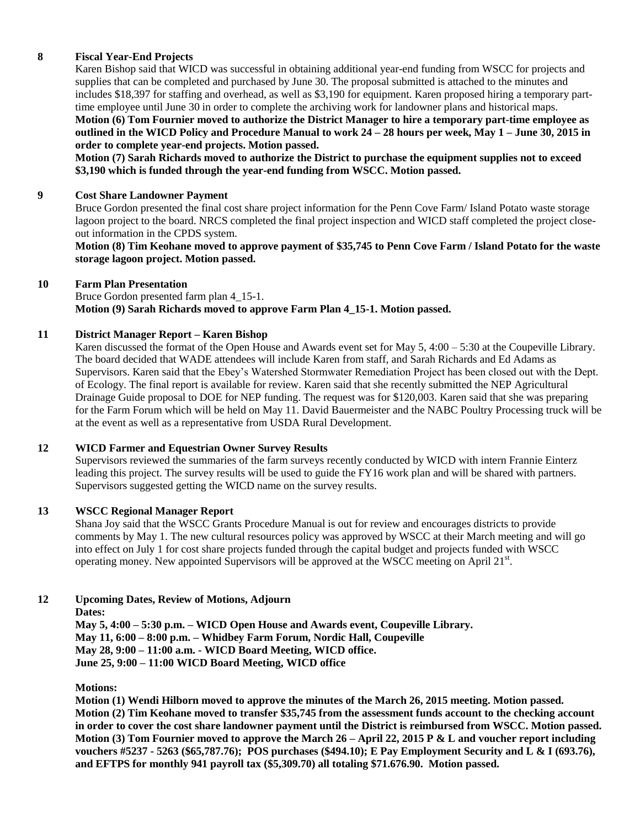### **8 Fiscal Year-End Projects**

Karen Bishop said that WICD was successful in obtaining additional year-end funding from WSCC for projects and supplies that can be completed and purchased by June 30. The proposal submitted is attached to the minutes and includes \$18,397 for staffing and overhead, as well as \$3,190 for equipment. Karen proposed hiring a temporary parttime employee until June 30 in order to complete the archiving work for landowner plans and historical maps.

**Motion (6) Tom Fournier moved to authorize the District Manager to hire a temporary part-time employee as outlined in the WICD Policy and Procedure Manual to work 24 – 28 hours per week, May 1 – June 30, 2015 in order to complete year-end projects. Motion passed.** 

**Motion (7) Sarah Richards moved to authorize the District to purchase the equipment supplies not to exceed \$3,190 which is funded through the year-end funding from WSCC. Motion passed.** 

#### **9 Cost Share Landowner Payment**

Bruce Gordon presented the final cost share project information for the Penn Cove Farm/ Island Potato waste storage lagoon project to the board. NRCS completed the final project inspection and WICD staff completed the project closeout information in the CPDS system.

**Motion (8) Tim Keohane moved to approve payment of \$35,745 to Penn Cove Farm / Island Potato for the waste storage lagoon project. Motion passed.** 

#### **10 Farm Plan Presentation**

Bruce Gordon presented farm plan 4\_15-1. **Motion (9) Sarah Richards moved to approve Farm Plan 4\_15-1. Motion passed.** 

#### **11 District Manager Report – Karen Bishop**

Karen discussed the format of the Open House and Awards event set for May 5, 4:00 – 5:30 at the Coupeville Library. The board decided that WADE attendees will include Karen from staff, and Sarah Richards and Ed Adams as Supervisors. Karen said that the Ebey's Watershed Stormwater Remediation Project has been closed out with the Dept. of Ecology. The final report is available for review. Karen said that she recently submitted the NEP Agricultural Drainage Guide proposal to DOE for NEP funding. The request was for \$120,003. Karen said that she was preparing for the Farm Forum which will be held on May 11. David Bauermeister and the NABC Poultry Processing truck will be at the event as well as a representative from USDA Rural Development.

#### **12 WICD Farmer and Equestrian Owner Survey Results**

Supervisors reviewed the summaries of the farm surveys recently conducted by WICD with intern Frannie Einterz leading this project. The survey results will be used to guide the FY16 work plan and will be shared with partners. Supervisors suggested getting the WICD name on the survey results.

#### **13 WSCC Regional Manager Report**

Shana Joy said that the WSCC Grants Procedure Manual is out for review and encourages districts to provide comments by May 1. The new cultural resources policy was approved by WSCC at their March meeting and will go into effect on July 1 for cost share projects funded through the capital budget and projects funded with WSCC operating money. New appointed Supervisors will be approved at the WSCC meeting on April 21<sup>st</sup>.

#### **12 Upcoming Dates, Review of Motions, Adjourn**

**Dates:** 

**May 5, 4:00 – 5:30 p.m. – WICD Open House and Awards event, Coupeville Library. May 11, 6:00 – 8:00 p.m. – Whidbey Farm Forum, Nordic Hall, Coupeville May 28, 9:00 – 11:00 a.m. - WICD Board Meeting, WICD office. June 25, 9:00 – 11:00 WICD Board Meeting, WICD office**

**Motions:**

**Motion (1) Wendi Hilborn moved to approve the minutes of the March 26, 2015 meeting. Motion passed. Motion (2) Tim Keohane moved to transfer \$35,745 from the assessment funds account to the checking account in order to cover the cost share landowner payment until the District is reimbursed from WSCC. Motion passed. Motion (3) Tom Fournier moved to approve the March 26 – April 22, 2015 P & L and voucher report including vouchers #5237 - 5263 (\$65,787.76); POS purchases (\$494.10); E Pay Employment Security and L & I (693.76), and EFTPS for monthly 941 payroll tax (\$5,309.70) all totaling \$71.676.90. Motion passed.**